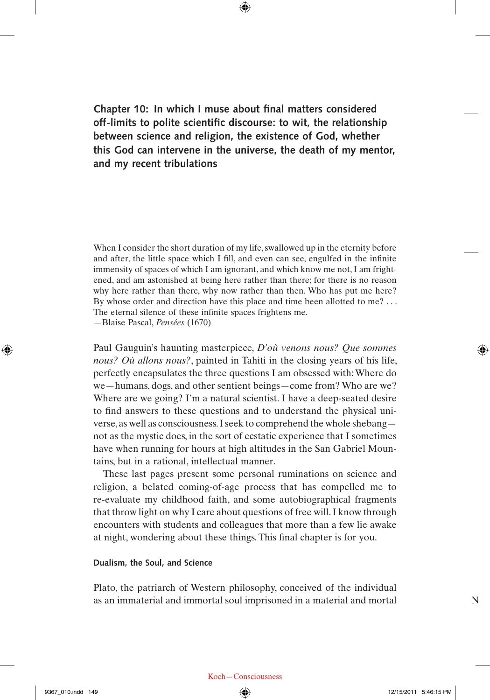**Chapter 10: In which I muse about final matters considered off-limits to polite scientific discourse: to wit, the relationship between science and religion, the existence of God, whether this God can intervene in the universe, the death of my mentor, and my recent tribulations**

 $\textcircled{\scriptsize{+}}$ 

When I consider the short duration of my life, swallowed up in the eternity before and after, the little space which I fill, and even can see, engulfed in the infinite immensity of spaces of which I am ignorant, and which know me not, I am frightened, and am astonished at being here rather than there; for there is no reason why here rather than there, why now rather than then. Who has put me here? By whose order and direction have this place and time been allotted to me? . . . The eternal silence of these infinite spaces frightens me. —Blaise Pascal, *Pensées* (1670)

Paul Gauguin's haunting masterpiece, *D'où venons nous? Que sommes nous? Où allons nous?*, painted in Tahiti in the closing years of his life, perfectly encapsulates the three questions I am obsessed with: Where do we—humans, dogs, and other sentient beings—come from? Who are we? Where are we going? I'm a natural scientist. I have a deep-seated desire to find answers to these questions and to understand the physical universe, as well as consciousness. I seek to comprehend the whole shebang not as the mystic does, in the sort of ecstatic experience that I sometimes have when running for hours at high altitudes in the San Gabriel Mountains, but in a rational, intellectual manner.

These last pages present some personal ruminations on science and religion, a belated coming-of-age process that has compelled me to re-evaluate my childhood faith, and some autobiographical fragments that throw light on why I care about questions of free will. I know through encounters with students and colleagues that more than a few lie awake at night, wondering about these things. This final chapter is for you.

### **Dualism, the Soul, and Science**

Plato, the patriarch of Western philosophy, conceived of the individual as an immaterial and immortal soul imprisoned in a material and mortal ⊕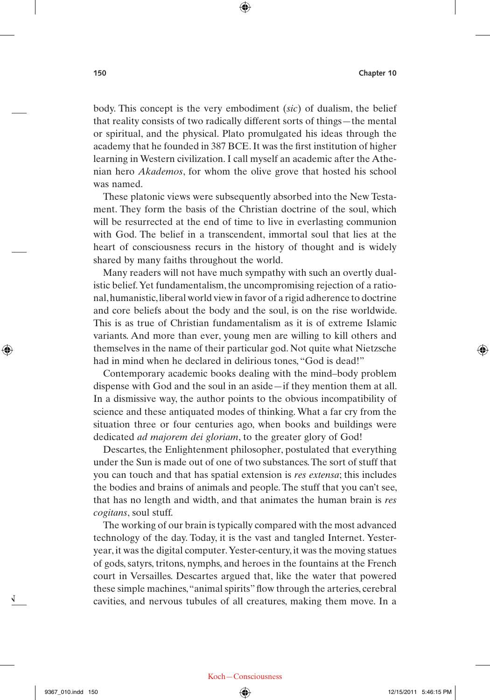body. This concept is the very embodiment (*sic*) of dualism, the belief that reality consists of two radically different sorts of things—the mental or spiritual, and the physical. Plato promulgated his ideas through the academy that he founded in 387 BCE. It was the first institution of higher learning in Western civilization. I call myself an academic after the Athenian hero *Akademos*, for whom the olive grove that hosted his school was named.

 $\textcircled{\scriptsize{+}}$ 

These platonic views were subsequently absorbed into the New Testament. They form the basis of the Christian doctrine of the soul, which will be resurrected at the end of time to live in everlasting communion with God. The belief in a transcendent, immortal soul that lies at the heart of consciousness recurs in the history of thought and is widely shared by many faiths throughout the world.

Many readers will not have much sympathy with such an overtly dualistic belief. Yet fundamentalism, the uncompromising rejection of a rational, humanistic, liberal world view in favor of a rigid adherence to doctrine and core beliefs about the body and the soul, is on the rise worldwide. This is as true of Christian fundamentalism as it is of extreme Islamic variants. And more than ever, young men are willing to kill others and themselves in the name of their particular god. Not quite what Nietzsche had in mind when he declared in delirious tones, "God is dead!"

Contemporary academic books dealing with the mind–body problem dispense with God and the soul in an aside—if they mention them at all. In a dismissive way, the author points to the obvious incompatibility of science and these antiquated modes of thinking. What a far cry from the situation three or four centuries ago, when books and buildings were dedicated *ad majorem dei gloriam*, to the greater glory of God!

Descartes, the Enlightenment philosopher, postulated that everything under the Sun is made out of one of two substances. The sort of stuff that you can touch and that has spatial extension is *res extensa*; this includes the bodies and brains of animals and people. The stuff that you can't see, that has no length and width, and that animates the human brain is *res cogitans*, soul stuff.

The working of our brain is typically compared with the most advanced technology of the day. Today, it is the vast and tangled Internet. Yesteryear, it was the digital computer. Yester-century, it was the moving statues of gods, satyrs, tritons, nymphs, and heroes in the fountains at the French court in Versailles. Descartes argued that, like the water that powered these simple machines, "animal spirits" flow through the arteries, cerebral cavities, and nervous tubules of all creatures, making them move. In a

N

⊕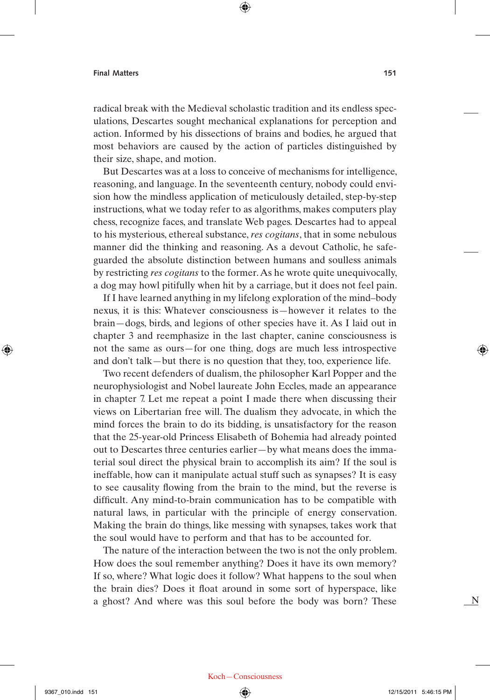radical break with the Medieval scholastic tradition and its endless speculations, Descartes sought mechanical explanations for perception and action. Informed by his dissections of brains and bodies, he argued that most behaviors are caused by the action of particles distinguished by their size, shape, and motion.

⊕

But Descartes was at a loss to conceive of mechanisms for intelligence, reasoning, and language. In the seventeenth century, nobody could envision how the mindless application of meticulously detailed, step-by-step instructions, what we today refer to as algorithms, makes computers play chess, recognize faces, and translate Web pages. Descartes had to appeal to his mysterious, ethereal substance, *res cogitans*, that in some nebulous manner did the thinking and reasoning. As a devout Catholic, he safeguarded the absolute distinction between humans and soulless animals by restricting *res cogitans* to the former. As he wrote quite unequivocally, a dog may howl pitifully when hit by a carriage, but it does not feel pain.

If I have learned anything in my lifelong exploration of the mind–body nexus, it is this: Whatever consciousness is—however it relates to the brain—dogs, birds, and legions of other species have it. As I laid out in chapter 3 and reemphasize in the last chapter, canine consciousness is not the same as ours—for one thing, dogs are much less introspective and don't talk—but there is no question that they, too, experience life.

Two recent defenders of dualism, the philosopher Karl Popper and the neurophysiologist and Nobel laureate John Eccles, made an appearance in chapter 7. Let me repeat a point I made there when discussing their views on Libertarian free will. The dualism they advocate, in which the mind forces the brain to do its bidding, is unsatisfactory for the reason that the 25-year-old Princess Elisabeth of Bohemia had already pointed out to Descartes three centuries earlier—by what means does the immaterial soul direct the physical brain to accomplish its aim? If the soul is ineffable, how can it manipulate actual stuff such as synapses? It is easy to see causality flowing from the brain to the mind, but the reverse is difficult. Any mind-to-brain communication has to be compatible with natural laws, in particular with the principle of energy conservation. Making the brain do things, like messing with synapses, takes work that the soul would have to perform and that has to be accounted for.

The nature of the interaction between the two is not the only problem. How does the soul remember anything? Does it have its own memory? If so, where? What logic does it follow? What happens to the soul when the brain dies? Does it float around in some sort of hyperspace, like a ghost? And where was this soul before the body was born? These

⊕

N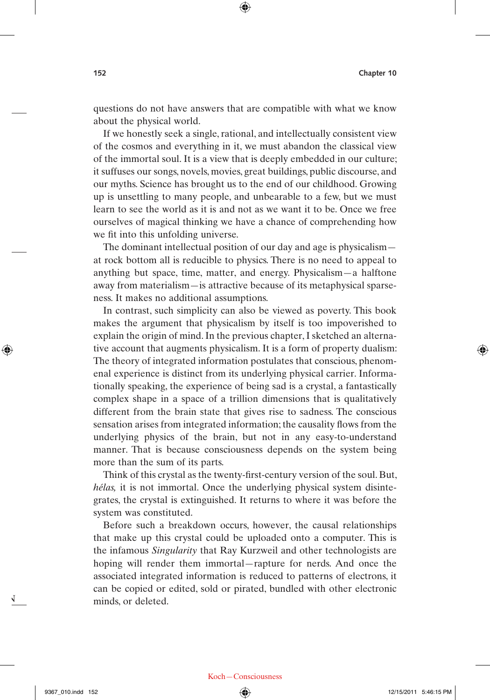questions do not have answers that are compatible with what we know about the physical world.

⊕

If we honestly seek a single, rational, and intellectually consistent view of the cosmos and everything in it, we must abandon the classical view of the immortal soul. It is a view that is deeply embedded in our culture; it suffuses our songs, novels, movies, great buildings, public discourse, and our myths. Science has brought us to the end of our childhood. Growing up is unsettling to many people, and unbearable to a few, but we must learn to see the world as it is and not as we want it to be. Once we free ourselves of magical thinking we have a chance of comprehending how we fit into this unfolding universe.

The dominant intellectual position of our day and age is physicalism at rock bottom all is reducible to physics. There is no need to appeal to anything but space, time, matter, and energy. Physicalism—a halftone away from materialism—is attractive because of its metaphysical sparseness. It makes no additional assumptions.

In contrast, such simplicity can also be viewed as poverty. This book makes the argument that physicalism by itself is too impoverished to explain the origin of mind. In the previous chapter, I sketched an alternative account that augments physicalism. It is a form of property dualism: The theory of integrated information postulates that conscious, phenomenal experience is distinct from its underlying physical carrier. Informationally speaking, the experience of being sad is a crystal, a fantastically complex shape in a space of a trillion dimensions that is qualitatively different from the brain state that gives rise to sadness. The conscious sensation arises from integrated information; the causality flows from the underlying physics of the brain, but not in any easy-to-understand manner. That is because consciousness depends on the system being more than the sum of its parts.

Think of this crystal as the twenty-first-century version of the soul. But, *hélas,* it is not immortal. Once the underlying physical system disintegrates, the crystal is extinguished. It returns to where it was before the system was constituted.

Before such a breakdown occurs, however, the causal relationships that make up this crystal could be uploaded onto a computer. This is the infamous *Singularity* that Ray Kurzweil and other technologists are hoping will render them immortal—rapture for nerds. And once the associated integrated information is reduced to patterns of electrons, it can be copied or edited, sold or pirated, bundled with other electronic minds, or deleted.

N

⊕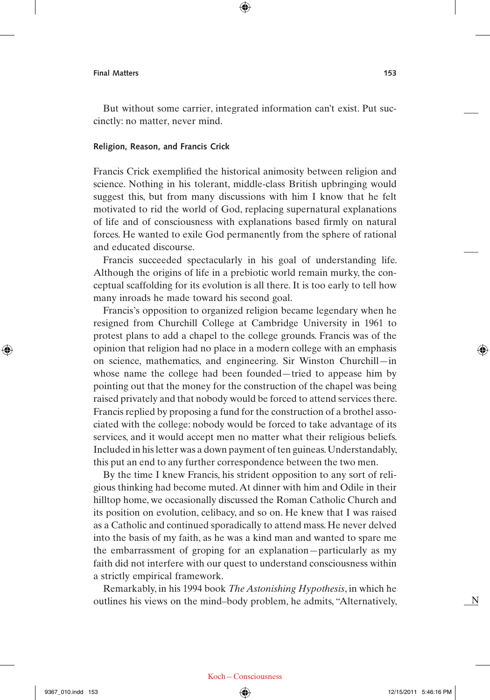But without some carrier, integrated information can't exist. Put succinctly: no matter, never mind.

 $\textcircled{\scriptsize{+}}$ 

### **Religion, Reason, and Francis Crick**

Francis Crick exemplified the historical animosity between religion and science. Nothing in his tolerant, middle-class British upbringing would suggest this, but from many discussions with him I know that he felt motivated to rid the world of God, replacing supernatural explanations of life and of consciousness with explanations based firmly on natural forces. He wanted to exile God permanently from the sphere of rational and educated discourse.

Francis succeeded spectacularly in his goal of understanding life. Although the origins of life in a prebiotic world remain murky, the conceptual scaffolding for its evolution is all there. It is too early to tell how many inroads he made toward his second goal.

Francis's opposition to organized religion became legendary when he resigned from Churchill College at Cambridge University in 1961 to protest plans to add a chapel to the college grounds. Francis was of the opinion that religion had no place in a modern college with an emphasis on science, mathematics, and engineering. Sir Winston Churchill—in whose name the college had been founded—tried to appease him by pointing out that the money for the construction of the chapel was being raised privately and that nobody would be forced to attend services there. Francis replied by proposing a fund for the construction of a brothel associated with the college: nobody would be forced to take advantage of its services, and it would accept men no matter what their religious beliefs. Included in his letter was a down payment of ten guineas. Understandably, this put an end to any further correspondence between the two men.

By the time I knew Francis, his strident opposition to any sort of religious thinking had become muted. At dinner with him and Odile in their hilltop home, we occasionally discussed the Roman Catholic Church and its position on evolution, celibacy, and so on. He knew that I was raised as a Catholic and continued sporadically to attend mass. He never delved into the basis of my faith, as he was a kind man and wanted to spare me the embarrassment of groping for an explanation—particularly as my faith did not interfere with our quest to understand consciousness within a strictly empirical framework.

Remarkably, in his 1994 book *The Astonishing Hypothesis*, in which he outlines his views on the mind–body problem, he admits, "Alternatively,

⊕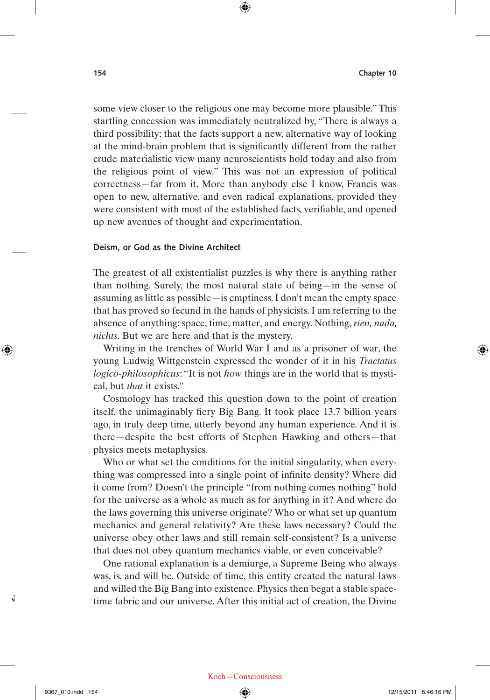some view closer to the religious one may become more plausible." This startling concession was immediately neutralized by, "There is always a third possibility; that the facts support a new, alternative way of looking at the mind-brain problem that is significantly different from the rather crude materialistic view many neuroscientists hold today and also from the religious point of view." This was not an expression of political correctness—far from it. More than anybody else I know, Francis was open to new, alternative, and even radical explanations, provided they were consistent with most of the established facts, verifiable, and opened up new avenues of thought and experimentation.

⊕

# **Deism, or God as the Divine Architect**

The greatest of all existentialist puzzles is why there is anything rather than nothing. Surely, the most natural state of being—in the sense of assuming as little as possible—is emptiness. I don't mean the empty space that has proved so fecund in the hands of physicists. I am referring to the absence of anything: space, time, matter, and energy. Nothing, *rien, nada, nichts*. But we are here and that is the mystery.

Writing in the trenches of World War I and as a prisoner of war, the young Ludwig Wittgenstein expressed the wonder of it in his *Tractatus logico-philosophicus*: "It is not *how* things are in the world that is mystical, but *that* it exists."

Cosmology has tracked this question down to the point of creation itself, the unimaginably fiery Big Bang. It took place 13.7 billion years ago, in truly deep time, utterly beyond any human experience. And it is there—despite the best efforts of Stephen Hawking and others—that physics meets metaphysics.

Who or what set the conditions for the initial singularity, when everything was compressed into a single point of infinite density? Where did it come from? Doesn't the principle "from nothing comes nothing" hold for the universe as a whole as much as for anything in it? And where do the laws governing this universe originate? Who or what set up quantum mechanics and general relativity? Are these laws necessary? Could the universe obey other laws and still remain self-consistent? Is a universe that does not obey quantum mechanics viable, or even conceivable?

One rational explanation is a demiurge, a Supreme Being who always was, is, and will be. Outside of time, this entity created the natural laws and willed the Big Bang into existence. Physics then begat a stable spacetime fabric and our universe. After this initial act of creation, the Divine

N

⊕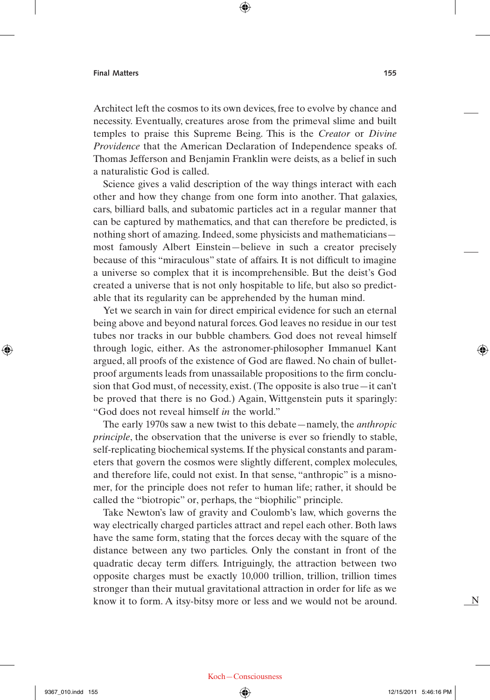Architect left the cosmos to its own devices, free to evolve by chance and necessity. Eventually, creatures arose from the primeval slime and built temples to praise this Supreme Being. This is the *Creator* or *Divine Providence* that the American Declaration of Independence speaks of. Thomas Jefferson and Benjamin Franklin were deists, as a belief in such a naturalistic God is called.

⊕

Science gives a valid description of the way things interact with each other and how they change from one form into another. That galaxies, cars, billiard balls, and subatomic particles act in a regular manner that can be captured by mathematics, and that can therefore be predicted, is nothing short of amazing. Indeed, some physicists and mathematicians most famously Albert Einstein—believe in such a creator precisely because of this "miraculous" state of affairs. It is not difficult to imagine a universe so complex that it is incomprehensible. But the deist's God created a universe that is not only hospitable to life, but also so predictable that its regularity can be apprehended by the human mind.

Yet we search in vain for direct empirical evidence for such an eternal being above and beyond natural forces. God leaves no residue in our test tubes nor tracks in our bubble chambers. God does not reveal himself through logic, either. As the astronomer-philosopher Immanuel Kant argued, all proofs of the existence of God are flawed. No chain of bulletproof arguments leads from unassailable propositions to the firm conclusion that God must, of necessity, exist. (The opposite is also true—it can't be proved that there is no God.) Again, Wittgenstein puts it sparingly: "God does not reveal himself *in* the world."

The early 1970s saw a new twist to this debate—namely, the *anthropic principle*, the observation that the universe is ever so friendly to stable, self-replicating biochemical systems. If the physical constants and parameters that govern the cosmos were slightly different, complex molecules, and therefore life, could not exist. In that sense, "anthropic" is a misnomer, for the principle does not refer to human life; rather, it should be called the "biotropic" or, perhaps, the "biophilic" principle.

Take Newton's law of gravity and Coulomb's law, which governs the way electrically charged particles attract and repel each other. Both laws have the same form, stating that the forces decay with the square of the distance between any two particles. Only the constant in front of the quadratic decay term differs. Intriguingly, the attraction between two opposite charges must be exactly 10,000 trillion, trillion, trillion times stronger than their mutual gravitational attraction in order for life as we know it to form. A itsy-bitsy more or less and we would not be around.

⊕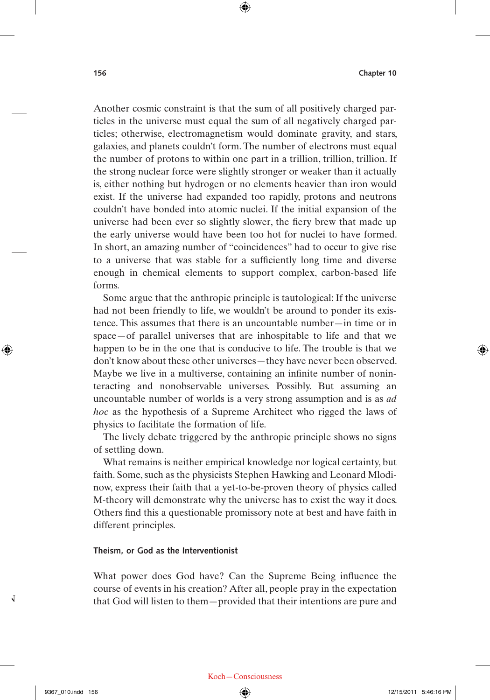Another cosmic constraint is that the sum of all positively charged particles in the universe must equal the sum of all negatively charged particles; otherwise, electromagnetism would dominate gravity, and stars, galaxies, and planets couldn't form. The number of electrons must equal the number of protons to within one part in a trillion, trillion, trillion. If the strong nuclear force were slightly stronger or weaker than it actually is, either nothing but hydrogen or no elements heavier than iron would exist. If the universe had expanded too rapidly, protons and neutrons couldn't have bonded into atomic nuclei. If the initial expansion of the universe had been ever so slightly slower, the fiery brew that made up the early universe would have been too hot for nuclei to have formed. In short, an amazing number of "coincidences" had to occur to give rise to a universe that was stable for a sufficiently long time and diverse enough in chemical elements to support complex, carbon-based life forms.

 $\textcircled{\scriptsize{+}}$ 

Some argue that the anthropic principle is tautological: If the universe had not been friendly to life, we wouldn't be around to ponder its existence. This assumes that there is an uncountable number—in time or in space—of parallel universes that are inhospitable to life and that we happen to be in the one that is conducive to life. The trouble is that we don't know about these other universes—they have never been observed. Maybe we live in a multiverse, containing an infinite number of noninteracting and nonobservable universes. Possibly. But assuming an uncountable number of worlds is a very strong assumption and is as *ad hoc* as the hypothesis of a Supreme Architect who rigged the laws of physics to facilitate the formation of life.

The lively debate triggered by the anthropic principle shows no signs of settling down.

What remains is neither empirical knowledge nor logical certainty, but faith. Some, such as the physicists Stephen Hawking and Leonard Mlodinow, express their faith that a yet-to-be-proven theory of physics called M-theory will demonstrate why the universe has to exist the way it does. Others find this a questionable promissory note at best and have faith in different principles.

#### **Theism, or God as the Interventionist**

What power does God have? Can the Supreme Being influence the course of events in his creation? After all, people pray in the expectation that God will listen to them—provided that their intentions are pure and

N

⊕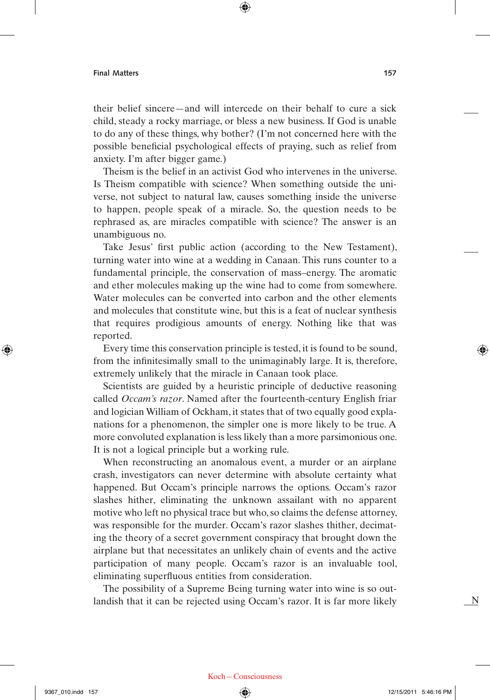their belief sincere—and will intercede on their behalf to cure a sick child, steady a rocky marriage, or bless a new business. If God is unable to do any of these things, why bother? (I'm not concerned here with the possible beneficial psychological effects of praying, such as relief from anxiety. I'm after bigger game.)

 $\textcircled{\scriptsize{+}}$ 

Theism is the belief in an activist God who intervenes in the universe. Is Theism compatible with science? When something outside the universe, not subject to natural law, causes something inside the universe to happen, people speak of a miracle. So, the question needs to be rephrased as, are miracles compatible with science? The answer is an unambiguous no.

Take Jesus' first public action (according to the New Testament), turning water into wine at a wedding in Canaan. This runs counter to a fundamental principle, the conservation of mass–energy. The aromatic and ether molecules making up the wine had to come from somewhere. Water molecules can be converted into carbon and the other elements and molecules that constitute wine, but this is a feat of nuclear synthesis that requires prodigious amounts of energy. Nothing like that was reported.

Every time this conservation principle is tested, it is found to be sound, from the infinitesimally small to the unimaginably large. It is, therefore, extremely unlikely that the miracle in Canaan took place.

Scientists are guided by a heuristic principle of deductive reasoning called *Occam's razor*. Named after the fourteenth-century English friar and logician William of Ockham, it states that of two equally good explanations for a phenomenon, the simpler one is more likely to be true. A more convoluted explanation is less likely than a more parsimonious one. It is not a logical principle but a working rule.

When reconstructing an anomalous event, a murder or an airplane crash, investigators can never determine with absolute certainty what happened. But Occam's principle narrows the options. Occam's razor slashes hither, eliminating the unknown assailant with no apparent motive who left no physical trace but who, so claims the defense attorney, was responsible for the murder. Occam's razor slashes thither, decimating the theory of a secret government conspiracy that brought down the airplane but that necessitates an unlikely chain of events and the active participation of many people. Occam's razor is an invaluable tool, eliminating superfluous entities from consideration.

The possibility of a Supreme Being turning water into wine is so outlandish that it can be rejected using Occam's razor. It is far more likely

⊕

N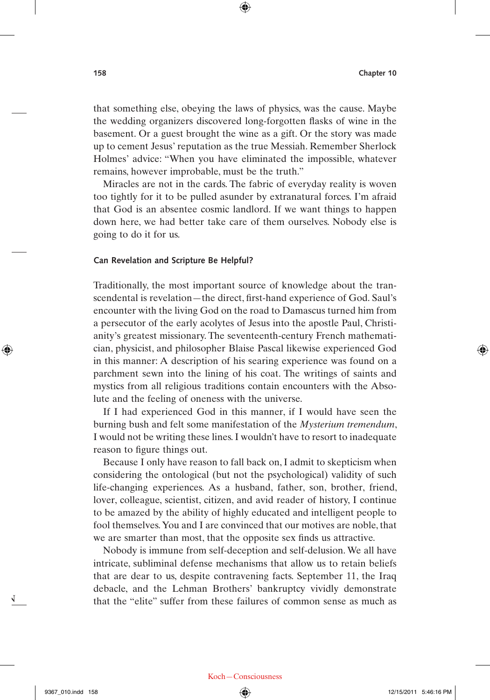that something else, obeying the laws of physics, was the cause. Maybe the wedding organizers discovered long-forgotten flasks of wine in the basement. Or a guest brought the wine as a gift. Or the story was made up to cement Jesus' reputation as the true Messiah. Remember Sherlock Holmes' advice: "When you have eliminated the impossible, whatever remains, however improbable, must be the truth."

 $\textcircled{\scriptsize{+}}$ 

Miracles are not in the cards. The fabric of everyday reality is woven too tightly for it to be pulled asunder by extranatural forces. I'm afraid that God is an absentee cosmic landlord. If we want things to happen down here, we had better take care of them ourselves. Nobody else is going to do it for us.

#### **Can Revelation and Scripture Be Helpful?**

Traditionally, the most important source of knowledge about the transcendental is revelation—the direct, first-hand experience of God. Saul's encounter with the living God on the road to Damascus turned him from a persecutor of the early acolytes of Jesus into the apostle Paul, Christianity's greatest missionary. The seventeenth-century French mathematician, physicist, and philosopher Blaise Pascal likewise experienced God in this manner: A description of his searing experience was found on a parchment sewn into the lining of his coat. The writings of saints and mystics from all religious traditions contain encounters with the Absolute and the feeling of oneness with the universe.

If I had experienced God in this manner, if I would have seen the burning bush and felt some manifestation of the *Mysterium tremendum*, I would not be writing these lines. I wouldn't have to resort to inadequate reason to figure things out.

Because I only have reason to fall back on, I admit to skepticism when considering the ontological (but not the psychological) validity of such life-changing experiences. As a husband, father, son, brother, friend, lover, colleague, scientist, citizen, and avid reader of history, I continue to be amazed by the ability of highly educated and intelligent people to fool themselves. You and I are convinced that our motives are noble, that we are smarter than most, that the opposite sex finds us attractive.

Nobody is immune from self-deception and self-delusion. We all have intricate, subliminal defense mechanisms that allow us to retain beliefs that are dear to us, despite contravening facts. September 11, the Iraq debacle, and the Lehman Brothers' bankruptcy vividly demonstrate that the "elite" suffer from these failures of common sense as much as

N

↔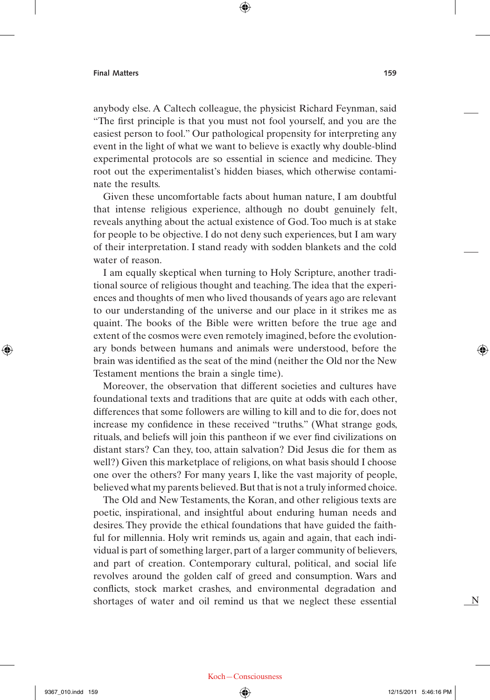anybody else. A Caltech colleague, the physicist Richard Feynman, said "The first principle is that you must not fool yourself, and you are the easiest person to fool." Our pathological propensity for interpreting any event in the light of what we want to believe is exactly why double-blind experimental protocols are so essential in science and medicine. They root out the experimentalist's hidden biases, which otherwise contaminate the results.

⊕

Given these uncomfortable facts about human nature, I am doubtful that intense religious experience, although no doubt genuinely felt, reveals anything about the actual existence of God. Too much is at stake for people to be objective. I do not deny such experiences, but I am wary of their interpretation. I stand ready with sodden blankets and the cold water of reason.

I am equally skeptical when turning to Holy Scripture, another traditional source of religious thought and teaching. The idea that the experiences and thoughts of men who lived thousands of years ago are relevant to our understanding of the universe and our place in it strikes me as quaint. The books of the Bible were written before the true age and extent of the cosmos were even remotely imagined, before the evolutionary bonds between humans and animals were understood, before the brain was identified as the seat of the mind (neither the Old nor the New Testament mentions the brain a single time).

Moreover, the observation that different societies and cultures have foundational texts and traditions that are quite at odds with each other, differences that some followers are willing to kill and to die for, does not increase my confidence in these received "truths." (What strange gods, rituals, and beliefs will join this pantheon if we ever find civilizations on distant stars? Can they, too, attain salvation? Did Jesus die for them as well?) Given this marketplace of religions, on what basis should I choose one over the others? For many years I, like the vast majority of people, believed what my parents believed. But that is not a truly informed choice.

The Old and New Testaments, the Koran, and other religious texts are poetic, inspirational, and insightful about enduring human needs and desires. They provide the ethical foundations that have guided the faithful for millennia. Holy writ reminds us, again and again, that each individual is part of something larger, part of a larger community of believers, and part of creation. Contemporary cultural, political, and social life revolves around the golden calf of greed and consumption. Wars and conflicts, stock market crashes, and environmental degradation and shortages of water and oil remind us that we neglect these essential

⊕

N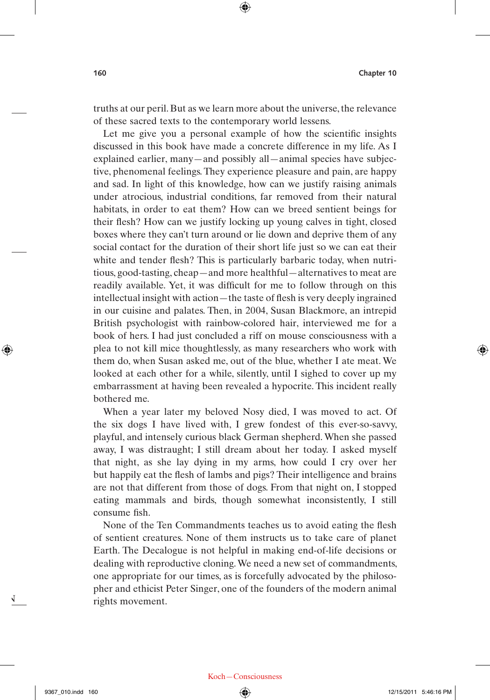truths at our peril. But as we learn more about the universe, the relevance of these sacred texts to the contemporary world lessens.

⊕

Let me give you a personal example of how the scientific insights discussed in this book have made a concrete difference in my life. As I explained earlier, many—and possibly all—animal species have subjective, phenomenal feelings. They experience pleasure and pain, are happy and sad. In light of this knowledge, how can we justify raising animals under atrocious, industrial conditions, far removed from their natural habitats, in order to eat them? How can we breed sentient beings for their flesh? How can we justify locking up young calves in tight, closed boxes where they can't turn around or lie down and deprive them of any social contact for the duration of their short life just so we can eat their white and tender flesh? This is particularly barbaric today, when nutritious, good-tasting, cheap—and more healthful—alternatives to meat are readily available. Yet, it was difficult for me to follow through on this intellectual insight with action—the taste of flesh is very deeply ingrained in our cuisine and palates. Then, in 2004, Susan Blackmore, an intrepid British psychologist with rainbow-colored hair, interviewed me for a book of hers. I had just concluded a riff on mouse consciousness with a plea to not kill mice thoughtlessly, as many researchers who work with them do, when Susan asked me, out of the blue, whether I ate meat. We looked at each other for a while, silently, until I sighed to cover up my embarrassment at having been revealed a hypocrite. This incident really bothered me.

When a year later my beloved Nosy died, I was moved to act. Of the six dogs I have lived with, I grew fondest of this ever-so-savvy, playful, and intensely curious black German shepherd. When she passed away, I was distraught; I still dream about her today. I asked myself that night, as she lay dying in my arms, how could I cry over her but happily eat the flesh of lambs and pigs? Their intelligence and brains are not that different from those of dogs. From that night on, I stopped eating mammals and birds, though somewhat inconsistently, I still consume fish.

None of the Ten Commandments teaches us to avoid eating the flesh of sentient creatures. None of them instructs us to take care of planet Earth. The Decalogue is not helpful in making end-of-life decisions or dealing with reproductive cloning. We need a new set of commandments, one appropriate for our times, as is forcefully advocated by the philosopher and ethicist Peter Singer, one of the founders of the modern animal rights movement.

N

⊕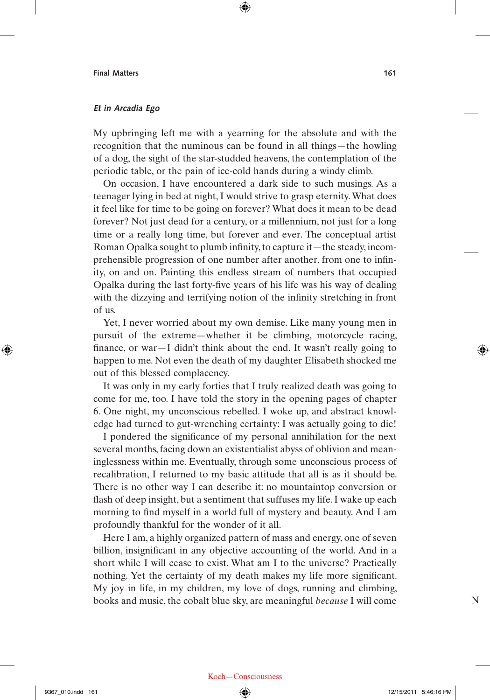# **Et in Arcadia Ego**

My upbringing left me with a yearning for the absolute and with the recognition that the numinous can be found in all things—the howling of a dog, the sight of the star-studded heavens, the contemplation of the periodic table, or the pain of ice-cold hands during a windy climb.

⊕

On occasion, I have encountered a dark side to such musings. As a teenager lying in bed at night, I would strive to grasp eternity. What does it feel like for time to be going on forever? What does it mean to be dead forever? Not just dead for a century, or a millennium, not just for a long time or a really long time, but forever and ever. The conceptual artist Roman Opalka sought to plumb infinity, to capture it—the steady, incomprehensible progression of one number after another, from one to infinity, on and on. Painting this endless stream of numbers that occupied Opalka during the last forty-five years of his life was his way of dealing with the dizzying and terrifying notion of the infinity stretching in front of us.

Yet, I never worried about my own demise. Like many young men in pursuit of the extreme—whether it be climbing, motorcycle racing, finance, or war—I didn't think about the end. It wasn't really going to happen to me. Not even the death of my daughter Elisabeth shocked me out of this blessed complacency.

It was only in my early forties that I truly realized death was going to come for me, too. I have told the story in the opening pages of chapter 6. One night, my unconscious rebelled. I woke up, and abstract knowledge had turned to gut-wrenching certainty: I was actually going to die!

I pondered the significance of my personal annihilation for the next several months, facing down an existentialist abyss of oblivion and meaninglessness within me. Eventually, through some unconscious process of recalibration, I returned to my basic attitude that all is as it should be. There is no other way I can describe it: no mountaintop conversion or flash of deep insight, but a sentiment that suffuses my life. I wake up each morning to find myself in a world full of mystery and beauty. And I am profoundly thankful for the wonder of it all.

Here I am, a highly organized pattern of mass and energy, one of seven billion, insignificant in any objective accounting of the world. And in a short while I will cease to exist. What am I to the universe? Practically nothing. Yet the certainty of my death makes my life more significant. My joy in life, in my children, my love of dogs, running and climbing, books and music, the cobalt blue sky, are meaningful *because* I will come

⊕

↔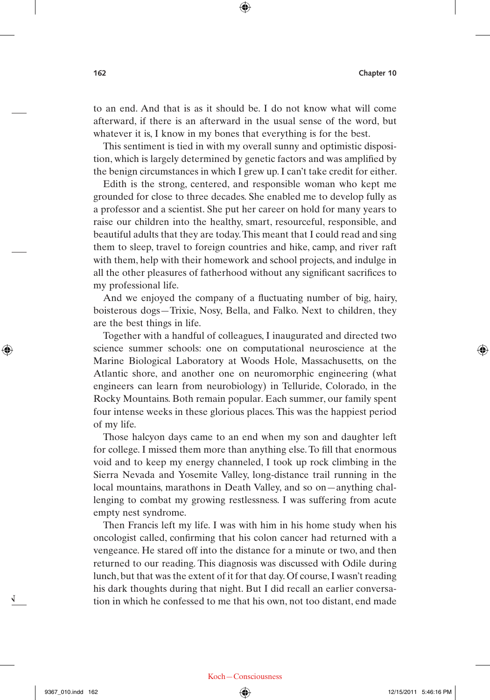to an end. And that is as it should be. I do not know what will come afterward, if there is an afterward in the usual sense of the word, but whatever it is, I know in my bones that everything is for the best.

 $\textcircled{\scriptsize{+}}$ 

This sentiment is tied in with my overall sunny and optimistic disposition, which is largely determined by genetic factors and was amplified by the benign circumstances in which I grew up. I can't take credit for either.

Edith is the strong, centered, and responsible woman who kept me grounded for close to three decades. She enabled me to develop fully as a professor and a scientist. She put her career on hold for many years to raise our children into the healthy, smart, resourceful, responsible, and beautiful adults that they are today. This meant that I could read and sing them to sleep, travel to foreign countries and hike, camp, and river raft with them, help with their homework and school projects, and indulge in all the other pleasures of fatherhood without any significant sacrifices to my professional life.

And we enjoyed the company of a fluctuating number of big, hairy, boisterous dogs—Trixie, Nosy, Bella, and Falko. Next to children, they are the best things in life.

Together with a handful of colleagues, I inaugurated and directed two science summer schools: one on computational neuroscience at the Marine Biological Laboratory at Woods Hole, Massachusetts, on the Atlantic shore, and another one on neuromorphic engineering (what engineers can learn from neurobiology) in Telluride, Colorado, in the Rocky Mountains. Both remain popular. Each summer, our family spent four intense weeks in these glorious places. This was the happiest period of my life.

Those halcyon days came to an end when my son and daughter left for college. I missed them more than anything else. To fill that enormous void and to keep my energy channeled, I took up rock climbing in the Sierra Nevada and Yosemite Valley, long-distance trail running in the local mountains, marathons in Death Valley, and so on—anything challenging to combat my growing restlessness. I was suffering from acute empty nest syndrome.

Then Francis left my life. I was with him in his home study when his oncologist called, confirming that his colon cancer had returned with a vengeance. He stared off into the distance for a minute or two, and then returned to our reading. This diagnosis was discussed with Odile during lunch, but that was the extent of it for that day. Of course, I wasn't reading his dark thoughts during that night. But I did recall an earlier conversation in which he confessed to me that his own, not too distant, end made

N

⊕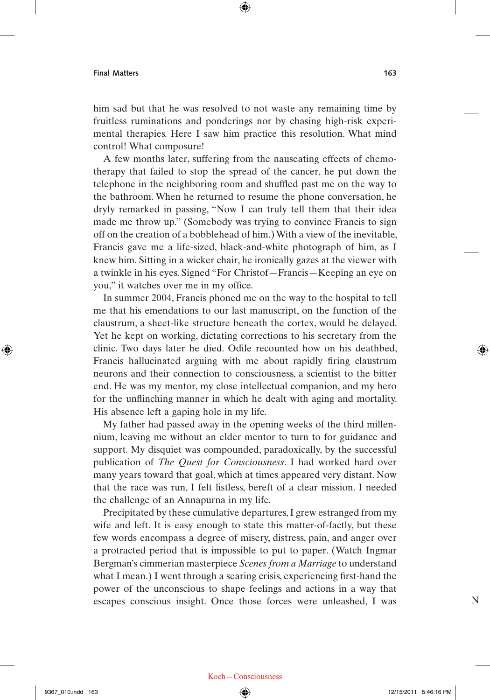him sad but that he was resolved to not waste any remaining time by fruitless ruminations and ponderings nor by chasing high-risk experimental therapies. Here I saw him practice this resolution. What mind control! What composure!

⊕

A few months later, suffering from the nauseating effects of chemotherapy that failed to stop the spread of the cancer, he put down the telephone in the neighboring room and shuffled past me on the way to the bathroom. When he returned to resume the phone conversation, he dryly remarked in passing, "Now I can truly tell them that their idea made me throw up." (Somebody was trying to convince Francis to sign off on the creation of a bobblehead of him.) With a view of the inevitable, Francis gave me a life-sized, black-and-white photograph of him, as I knew him. Sitting in a wicker chair, he ironically gazes at the viewer with a twinkle in his eyes. Signed "For Christof—Francis—Keeping an eye on you," it watches over me in my office.

In summer 2004, Francis phoned me on the way to the hospital to tell me that his emendations to our last manuscript, on the function of the claustrum, a sheet-like structure beneath the cortex, would be delayed. Yet he kept on working, dictating corrections to his secretary from the clinic. Two days later he died. Odile recounted how on his deathbed, Francis hallucinated arguing with me about rapidly firing claustrum neurons and their connection to consciousness, a scientist to the bitter end. He was my mentor, my close intellectual companion, and my hero for the unflinching manner in which he dealt with aging and mortality. His absence left a gaping hole in my life.

My father had passed away in the opening weeks of the third millennium, leaving me without an elder mentor to turn to for guidance and support. My disquiet was compounded, paradoxically, by the successful publication of *The Quest for Consciousness*. I had worked hard over many years toward that goal, which at times appeared very distant. Now that the race was run, I felt listless, bereft of a clear mission. I needed the challenge of an Annapurna in my life.

Precipitated by these cumulative departures, I grew estranged from my wife and left. It is easy enough to state this matter-of-factly, but these few words encompass a degree of misery, distress, pain, and anger over a protracted period that is impossible to put to paper. (Watch Ingmar Bergman's cimmerian masterpiece *Scenes from a Marriage* to understand what I mean.) I went through a searing crisis, experiencing first-hand the power of the unconscious to shape feelings and actions in a way that escapes conscious insight. Once those forces were unleashed, I was

↔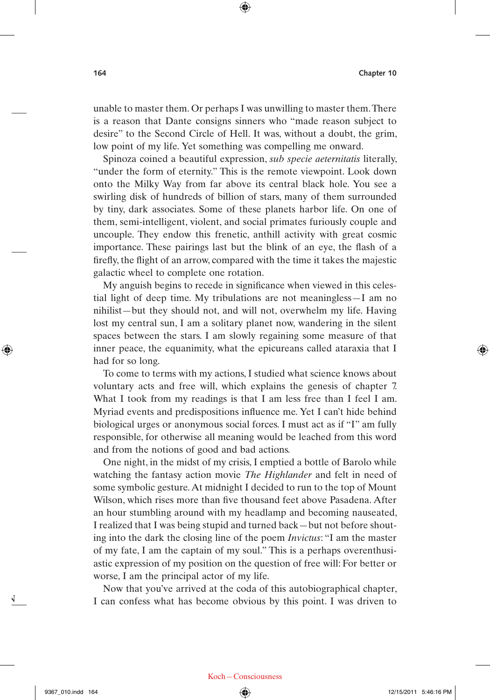unable to master them. Or perhaps I was unwilling to master them. There is a reason that Dante consigns sinners who "made reason subject to desire" to the Second Circle of Hell. It was, without a doubt, the grim, low point of my life. Yet something was compelling me onward.

 $\textcircled{\scriptsize{+}}$ 

Spinoza coined a beautiful expression, *sub specie aeternitatis* literally, "under the form of eternity." This is the remote viewpoint. Look down onto the Milky Way from far above its central black hole. You see a swirling disk of hundreds of billion of stars, many of them surrounded by tiny, dark associates. Some of these planets harbor life. On one of them, semi-intelligent, violent, and social primates furiously couple and uncouple. They endow this frenetic, anthill activity with great cosmic importance. These pairings last but the blink of an eye, the flash of a firefly, the flight of an arrow, compared with the time it takes the majestic galactic wheel to complete one rotation.

My anguish begins to recede in significance when viewed in this celestial light of deep time. My tribulations are not meaningless—I am no nihilist—but they should not, and will not, overwhelm my life. Having lost my central sun, I am a solitary planet now, wandering in the silent spaces between the stars. I am slowly regaining some measure of that inner peace, the equanimity, what the epicureans called ataraxia that I had for so long.

To come to terms with my actions, I studied what science knows about voluntary acts and free will, which explains the genesis of chapter 7. What I took from my readings is that I am less free than I feel I am. Myriad events and predispositions influence me. Yet I can't hide behind biological urges or anonymous social forces. I must act as if "I" am fully responsible, for otherwise all meaning would be leached from this word and from the notions of good and bad actions.

One night, in the midst of my crisis, I emptied a bottle of Barolo while watching the fantasy action movie *The Highlander* and felt in need of some symbolic gesture. At midnight I decided to run to the top of Mount Wilson, which rises more than five thousand feet above Pasadena. After an hour stumbling around with my headlamp and becoming nauseated, I realized that I was being stupid and turned back—but not before shouting into the dark the closing line of the poem *Invictus*: "I am the master of my fate, I am the captain of my soul." This is a perhaps overenthusiastic expression of my position on the question of free will: For better or worse, I am the principal actor of my life.

Now that you've arrived at the coda of this autobiographical chapter, I can confess what has become obvious by this point. I was driven to

N

↔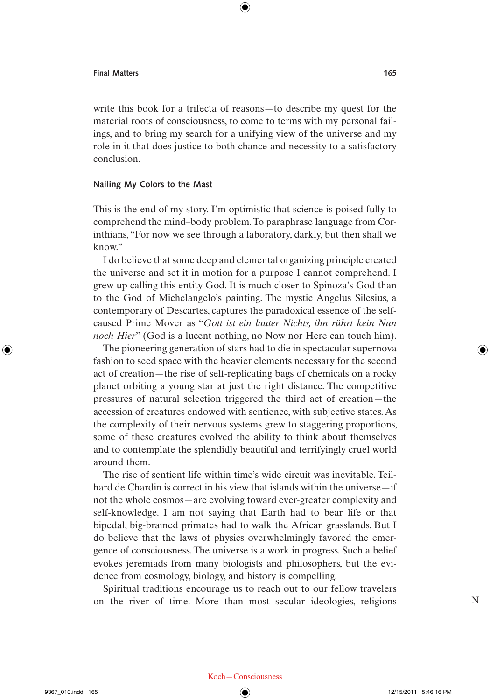write this book for a trifecta of reasons—to describe my quest for the material roots of consciousness, to come to terms with my personal failings, and to bring my search for a unifying view of the universe and my role in it that does justice to both chance and necessity to a satisfactory conclusion.

⊕

## **Nailing My Colors to the Mast**

This is the end of my story. I'm optimistic that science is poised fully to comprehend the mind–body problem. To paraphrase language from Corinthians, "For now we see through a laboratory, darkly, but then shall we know."

I do believe that some deep and elemental organizing principle created the universe and set it in motion for a purpose I cannot comprehend. I grew up calling this entity God. It is much closer to Spinoza's God than to the God of Michelangelo's painting. The mystic Angelus Silesius, a contemporary of Descartes, captures the paradoxical essence of the selfcaused Prime Mover as "*Gott ist ein lauter Nichts, ihn rührt kein Nun noch Hier*" (God is a lucent nothing, no Now nor Here can touch him).

The pioneering generation of stars had to die in spectacular supernova fashion to seed space with the heavier elements necessary for the second act of creation—the rise of self-replicating bags of chemicals on a rocky planet orbiting a young star at just the right distance. The competitive pressures of natural selection triggered the third act of creation—the accession of creatures endowed with sentience, with subjective states. As the complexity of their nervous systems grew to staggering proportions, some of these creatures evolved the ability to think about themselves and to contemplate the splendidly beautiful and terrifyingly cruel world around them.

The rise of sentient life within time's wide circuit was inevitable. Teilhard de Chardin is correct in his view that islands within the universe—if not the whole cosmos—are evolving toward ever-greater complexity and self-knowledge. I am not saying that Earth had to bear life or that bipedal, big-brained primates had to walk the African grasslands. But I do believe that the laws of physics overwhelmingly favored the emergence of consciousness. The universe is a work in progress. Such a belief evokes jeremiads from many biologists and philosophers, but the evidence from cosmology, biology, and history is compelling.

Spiritual traditions encourage us to reach out to our fellow travelers on the river of time. More than most secular ideologies, religions

⊕